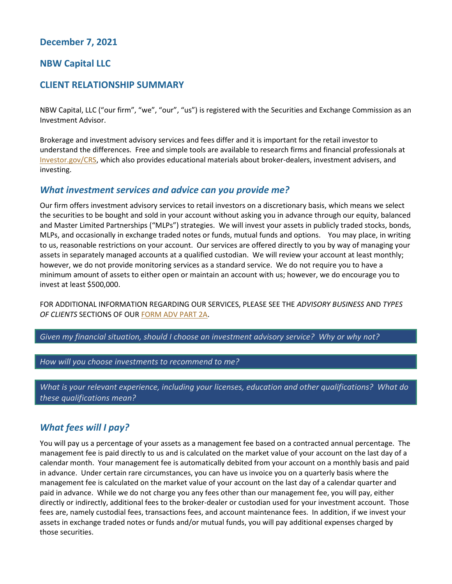## **December 7, 2021**

### **NBW Capital LLC**

### **CLIENT RELATIONSHIP SUMMARY**

NBW Capital, LLC ("our firm", "we", "our", "us") is registered with the Securities and Exchange Commission as an Investment Advisor.

Brokerage and investment advisory services and fees differ and it is important for the retail investor to understand the differences. Free and simple tools are available to research firms and financial professionals at [Investor.gov/CRS,](https://www.investor.gov/CRS) which also provides educational materials about broker-dealers, investment advisers, and investing.

### *What investment services and advice can you provide me?*

Our firm offers investment advisory services to retail investors on a discretionary basis, which means we select the securities to be bought and sold in your account without asking you in advance through our equity, balanced and Master Limited Partnerships ("MLPs") strategies. We will invest your assets in publicly traded stocks, bonds, MLPs, and occasionally in exchange traded notes or funds, mutual funds and options. You may place, in writing to us, reasonable restrictions on your account. Our services are offered directly to you by way of managing your assets in separately managed accounts at a qualified custodian. We will review your account at least monthly; however, we do not provide monitoring services as a standard service. We do not require you to have a minimum amount of assets to either open or maintain an account with us; however, we do encourage you to invest at least \$500,000.

FOR ADDITIONAL INFORMATION REGARDING OUR SERVICES, PLEASE SEE THE *ADVISORY BUSINESS* AND *TYPES OF CLIENTS* SECTIONS OF OUR [FORM ADV PART 2A.](https://files.adviserinfo.sec.gov/IAPD/Content/Common/crd_iapd_Brochure.aspx?BRCHR_VRSN_ID=632416)

*Given my financial situation, should I choose an investment advisory service? Why or why not?* 

*How will you choose investments to recommend to me?* 

*What is your relevant experience, including your licenses, education and other qualifications? What do these qualifications mean?* 

## *What fees will I pay?*

You will pay us a percentage of your assets as a management fee based on a contracted annual percentage. The management fee is paid directly to us and is calculated on the market value of your account on the last day of a calendar month. Your management fee is automatically debited from your account on a monthly basis and paid in advance. Under certain rare circumstances, you can have us invoice you on a quarterly basis where the management fee is calculated on the market value of your account on the last day of a calendar quarter and paid in advance. While we do not charge you any fees other than our management fee, you will pay, either directly or indirectly, additional fees to the broker-dealer or custodian used for your investment account. Those fees are, namely custodial fees, transactions fees, and account maintenance fees. In addition, if we invest your assets in exchange traded notes or funds and/or mutual funds, you will pay additional expenses charged by those securities.